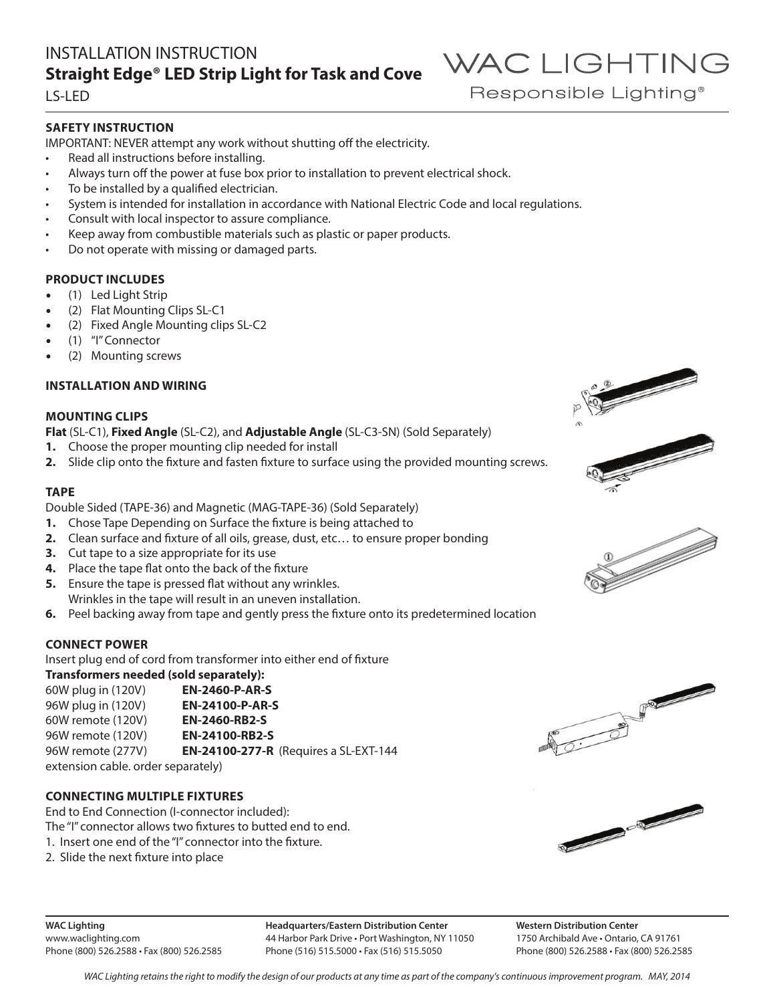### INSTALLATION INSTRUCTION **Straight Edge® LED Strip Light for Task and Cove**

LS-LED

### **SAFETY INSTRUCTION**

IMPORTANT: NEVER attempt any work without shutting off the electricity.

- Read all instructions before installing.
- Always turn off the power at fuse box prior to installation to prevent electrical shock.
- To be installed by a qualified electrician.
- System is intended for installation in accordance with National Electric Code and local regulations.
- Consult with local inspector to assure compliance.
- Keep away from combustible materials such as plastic or paper products.
- Do not operate with missing or damaged parts.

### **PRODUCT INCLUDES**

- (1) Led Light Strip
- (2) Flat Mounting Clips SL-C1
- (2) Fixed Angle Mounting clips SL-C2
- (1) "I" Connector
- (2) Mounting screws

### **INSTALLATION AND WIRING**

### **MOUNTING CLIPS**

**Flat** (SL-C1), **Fixed Angle** (SL-C2), and **Adjustable Angle** (SL-C3-SN) (Sold Separately)

- **1.** Choose the proper mounting clip needed for install
- **2.** Slide clip onto the fixture and fasten fixture to surface using the provided mounting screws.

### **TAPE**

Double Sided (TAPE-36) and Magnetic (MAG-TAPE-36) (Sold Separately)

- **1.** Chose Tape Depending on Surface the fixture is being attached to
- **2.** Clean surface and fixture of all oils, grease, dust, etc… to ensure proper bonding
- **3.** Cut tape to a size appropriate for its use
- **4.** Place the tape flat onto the back of the fixture
- **5.** Ensure the tape is pressed flat without any wrinkles. Wrinkles in the tape will result in an uneven installation.
- **6.** Peel backing away from tape and gently press the fixture onto its predetermined location

### **CONNECT POWER**

Insert plug end of cord from transformer into either end of fixture **Transformers needed (sold separately):**

| <u>Hansivilliers lieeueu (solu sepalately).</u> |                                              |  |  |  |
|-------------------------------------------------|----------------------------------------------|--|--|--|
| 60W plug in (120V)                              | <b>EN-2460-P-AR-S</b>                        |  |  |  |
| 96W plug in (120V)                              | <b>EN-24100-P-AR-S</b>                       |  |  |  |
| 60W remote (120V)                               | <b>EN-2460-RB2-S</b>                         |  |  |  |
| 96W remote (120V)                               | <b>EN-24100-RB2-S</b>                        |  |  |  |
| 96W remote (277V)                               | <b>EN-24100-277-R</b> (Requires a SL-EXT-144 |  |  |  |
| extension cable. order separately)              |                                              |  |  |  |

### **CONNECTING MULTIPLE FIXTURES**

End to End Connection (I-connector included): The "I" connector allows two fixtures to butted end to end. 1. Insert one end of the "I" connector into the fixture.

2. Slide the next fixture into place



**Headquarters/Eastern Distribution Center** 44 Harbor Park Drive • Port Washington, NY 11050 Phone (516) 515.5000 • Fax (516) 515.5050

**Western Distribution Center**  1750 Archibald Ave • Ontario, CA 91761 Phone (800) 526.2588 • Fax (800) 526.2585









WAC LIGHTING

Responsible Lighting<sup>®</sup>